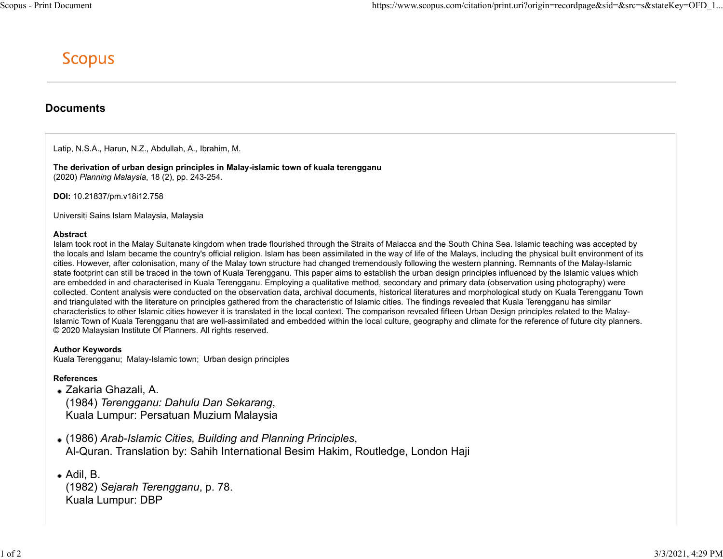# **Documents**

Latip, N.S.A., Harun, N.Z., Abdullah, A., Ibrahim, M.

The derivation of urban design principles in Malay-islamic town of kuala terengganu (2020) Planning Malaysia, 18 (2), pp. 243-254.

DOI: 10.21837/pm.v18i12.758

Universiti Sains Islam Malaysia, Malaysia

### Abstract

Islam took root in the Malay Sultanate kingdom when trade flourished through the Straits of Malacca and the South China Sea. Islamic teaching was accepted by the locals and Islam became the country's official religion. Islam has been assimilated in the way of life of the Malays, including the physical built environment of its cities. However, after colonisation, many of the Malay town structure had changed tremendously following the western planning. Remnants of the Malay-Islamic state footprint can still be traced in the town of Kuala Terengganu. This paper aims to establish the urban design principles influenced by the Islamic values which are embedded in and characterised in Kuala Terengganu. Employing a qualitative method, secondary and primary data (observation using photography) were collected. Content analysis were conducted on the observation data, archival documents, historical literatures and morphological study on Kuala Terengganu Town and triangulated with the literature on principles gathered from the characteristic of Islamic cities. The findings revealed that Kuala Terengganu has similar characteristics to other Islamic cities however it is translated in the local context. The comparison revealed fifteen Urban Design principles related to the Malay-Islamic Town of Kuala Terengganu that are well-assimilated and embedded within the local culture, geography and climate for the reference of future city planners. © 2020 Malaysian Institute Of Planners. All rights reserved.

# Author Keywords

Kuala Terengganu; Malay-Islamic town; Urban design principles

# References

Zakaria Ghazali, A. (1984) Terengganu: Dahulu Dan Sekarang, Kuala Lumpur: Persatuan Muzium Malaysia

- (1986) Arab-Islamic Cities, Building and Planning Principles, Al-Quran. Translation by: Sahih International Besim Hakim, Routledge, London Haji
- Adil, B. (1982) Sejarah Terengganu, p. 78. Kuala Lumpur: DBP